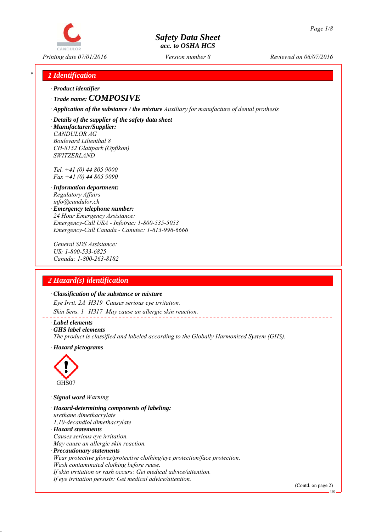# CANDULOR

# *Safety Data Sheet acc. to OSHA HCS*

*Printing date 07/01/2016 Reviewed on 06/07/2016 Version number 8*

# *\* 1 Identification*

*∙ Product identifier*

*∙ Trade name: COMPOSIVE*

*∙ Application of the substance / the mixture Auxiliary for manufacture of dental prothesis*

*∙ Details of the supplier of the safety data sheet ∙ Manufacturer/Supplier: CANDULOR AG Boulevard Lilienthal 8 CH-8152 Glattpark (Opfikon) SWITZERLAND*

*Tel. +41 (0) 44 805 9000 Fax +41 (0) 44 805 9090*

- *∙ Information department: Regulatory Affairs info@candulor.ch*
- *∙ Emergency telephone number: 24 Hour Emergency Assistance: Emergency-Call USA - Infotrac: 1-800-535-5053 Emergency-Call Canada - Canutec: 1-613-996-6666*

*General SDS Assistance: US: 1-800-533-6825 Canada: 1-800-263-8182*

# *2 Hazard(s) identification*

#### *∙ Classification of the substance or mixture*

*Eye Irrit. 2A H319 Causes serious eye irritation. Skin Sens. 1 H317 May cause an allergic skin reaction.*

#### *∙ Label elements*

*∙ GHS label elements*

*The product is classified and labeled according to the Globally Harmonized System (GHS).*

*∙ Hazard pictograms*



*∙ Signal word Warning*

*∙ Hazard-determining components of labeling: urethane dimethacrylate 1,10-decandiol dimethacrylate ∙ Hazard statements Causes serious eye irritation. May cause an allergic skin reaction. ∙ Precautionary statements Wear protective gloves/protective clothing/eye protection/face protection. Wash contaminated clothing before reuse. If skin irritation or rash occurs: Get medical advice/attention. If eye irritation persists: Get medical advice/attention.*

(Contd. on page 2)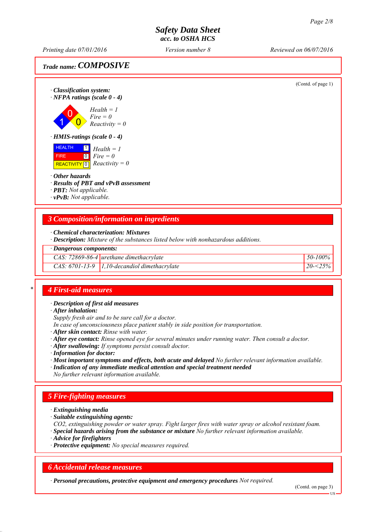*Printing date 07/01/2016 Reviewed on 06/07/2016 Version number 8*

*Trade name: COMPOSIVE*



*∙ Description: Mixture of the substances listed below with nonhazardous additions.*

#### *∙ Dangerous components:*

*CAS: 72869-86-4 urethane dimethacrylate 50-100%*

*CAS: 6701-13-9 1,10-decandiol dimethacrylate 20-<25%*

# *\* 4 First-aid measures*

*∙ Description of first aid measures*

*∙ After inhalation:*

*Supply fresh air and to be sure call for a doctor.*

*In case of unconsciousness place patient stably in side position for transportation.*

*∙ After skin contact: Rinse with water.*

*∙ After eye contact: Rinse opened eye for several minutes under running water. Then consult a doctor.*

*∙ After swallowing: If symptoms persist consult doctor.*

*∙ Information for doctor:*

*∙ Most important symptoms and effects, both acute and delayed No further relevant information available.*

*∙ Indication of any immediate medical attention and special treatment needed*

*No further relevant information available.*

# *5 Fire-fighting measures*

*∙ Extinguishing media*

*∙ Suitable extinguishing agents:*

*CO2, extinguishing powder or water spray. Fight larger fires with water spray or alcohol resistant foam. ∙ Special hazards arising from the substance or mixture No further relevant information available.*

*∙ Advice for firefighters*

*∙ Protective equipment: No special measures required.*

# *6 Accidental release measures*

*∙ Personal precautions, protective equipment and emergency procedures Not required.*

(Contd. on page 3)

US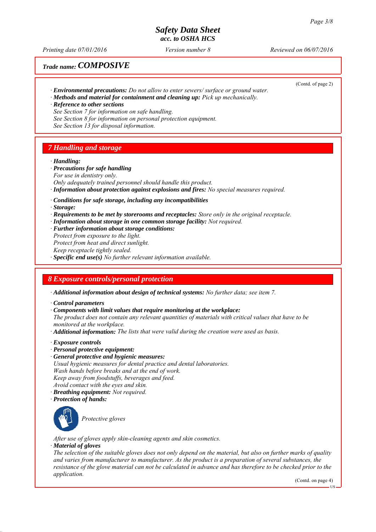*Printing date 07/01/2016 Reviewed on 06/07/2016 Version number 8*

# *Trade name: COMPOSIVE*

(Contd. of page 2)

- *∙ Environmental precautions: Do not allow to enter sewers/ surface or ground water.*
- *∙ Methods and material for containment and cleaning up: Pick up mechanically.*
- *∙ Reference to other sections See Section 7 for information on safe handling.*
- *See Section 8 for information on personal protection equipment.*
- *See Section 13 for disposal information.*

# *7 Handling and storage*

#### *∙ Handling:*

- *∙ Precautions for safe handling*
- *For use in dentistry only.*
- *Only adequately trained personnel should handle this product. ∙ Information about protection against explosions and fires: No special measures required.*
- *∙ Conditions for safe storage, including any incompatibilities*
- *∙ Storage:*
- *∙ Requirements to be met by storerooms and receptacles: Store only in the original receptacle.*
- *∙ Information about storage in one common storage facility: Not required.*
- *∙ Further information about storage conditions:*
- *Protect from exposure to the light.*
- *Protect from heat and direct sunlight.*
- *Keep receptacle tightly sealed.*
- *∙ Specific end use(s) No further relevant information available.*

# *8 Exposure controls/personal protection*

*∙ Additional information about design of technical systems: No further data; see item 7.*

*∙ Control parameters*

*∙ Components with limit values that require monitoring at the workplace:*

*The product does not contain any relevant quantities of materials with critical values that have to be monitored at the workplace.*

*∙ Additional information: The lists that were valid during the creation were used as basis.*

- *∙ Exposure controls*
- *∙ Personal protective equipment:*
- *∙ General protective and hygienic measures: Usual hygienic measures for dental practice and dental laboratories. Wash hands before breaks and at the end of work. Keep away from foodstuffs, beverages and feed. Avoid contact with the eyes and skin.*
- *∙ Breathing equipment: Not required.*
- *∙ Protection of hands:*



*Protective gloves*

*After use of gloves apply skin-cleaning agents and skin cosmetics.*

## *∙ Material of gloves*

*The selection of the suitable gloves does not only depend on the material, but also on further marks of quality and varies from manufacturer to manufacturer. As the product is a preparation of several substances, the resistance of the glove material can not be calculated in advance and has therefore to be checked prior to the application.*

(Contd. on page 4)

US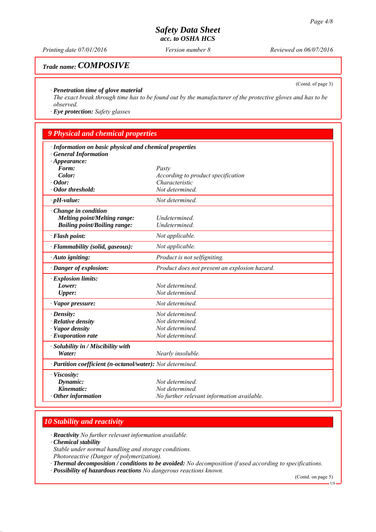*Printing date 07/01/2016 Reviewed on 06/07/2016 Version number 8*

# *Trade name: COMPOSIVE*

(Contd. of page 3)

## *∙ Penetration time of glove material*

*The exact break through time has to be found out by the manufacturer of the protective gloves and has to be observed.*

*∙ Eye protection: Safety glasses*

# *9 Physical and chemical properties*

| · Information on basic physical and chemical properties    |                                               |
|------------------------------------------------------------|-----------------------------------------------|
| <b>General Information</b>                                 |                                               |
| $\cdot$ Appearance:                                        |                                               |
| Form:                                                      | Pasty                                         |
| Color:                                                     | According to product specification            |
| $\cdot$ Odor:                                              | Characteristic                                |
| · Odor threshold:                                          | Not determined.                               |
| $\cdot$ pH-value:                                          | Not determined.                               |
| Change in condition                                        |                                               |
| Melting point/Melting range:                               | Undetermined.                                 |
| <b>Boiling point/Boiling range:</b>                        | Undetermined.                                 |
| · Flash point:                                             | Not applicable.                               |
| · Flammability (solid, gaseous):                           | Not applicable.                               |
| $\cdot$ Auto igniting:                                     | Product is not selfigniting.                  |
| · Danger of explosion:                                     | Product does not present an explosion hazard. |
| $\cdot$ Explosion limits:                                  |                                               |
| Lower:                                                     | Not determined.                               |
| <b>Upper:</b>                                              | Not determined.                               |
| $\cdot$ Vapor pressure:                                    | Not determined.                               |
| $\cdot$ Density:                                           | Not determined.                               |
| $\cdot$ Relative density                                   | Not determined.                               |
| · Vapor density                                            | Not determined.                               |
| $\cdot$ Evaporation rate                                   | Not determined.                               |
| $\cdot$ Solubility in / Miscibility with                   |                                               |
| Water:                                                     | Nearly insoluble.                             |
| · Partition coefficient (n-octanol/water): Not determined. |                                               |
| · Viscosity:                                               |                                               |
| Dynamic:                                                   | Not determined.                               |
| Kinematic:                                                 | Not determined.                               |
| $\cdot$ Other information                                  | No further relevant information available.    |

# *10 Stability and reactivity*

*∙ Reactivity No further relevant information available.*

*∙ Chemical stability*

*Stable under normal handling and storage conditions.*

- *Photoreactive (Danger of polymerization).*
- *∙ Thermal decomposition / conditions to be avoided: No decomposition if used according to specifications.*
- *∙ Possibility of hazardous reactions No dangerous reactions known.*

(Contd. on page 5)

 $\overline{\text{US}}$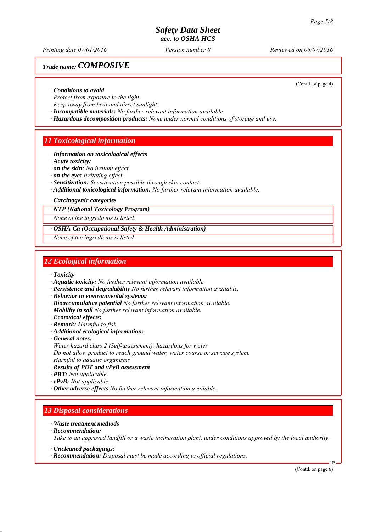*Printing date 07/01/2016 Reviewed on 06/07/2016 Version number 8*

# *Trade name: COMPOSIVE*

(Contd. of page 4)

#### *∙ Conditions to avoid*

*Protect from exposure to the light.*

*Keep away from heat and direct sunlight.*

*∙ Incompatible materials: No further relevant information available.*

*∙ Hazardous decomposition products: None under normal conditions of storage and use.*

# *11 Toxicological information*

- *∙ Information on toxicological effects*
- *∙ Acute toxicity:*

*∙ on the skin: No irritant effect.*

- *∙ on the eye: Irritating effect.*
- *∙ Sensitization: Sensitization possible through skin contact.*
- *∙ Additional toxicological information: No further relevant information available.*

*∙ Carcinogenic categories*

*∙ NTP (National Toxicology Program)*

*None of the ingredients is listed.*

*∙ OSHA-Ca (Occupational Safety & Health Administration)*

*None of the ingredients is listed.*

# *12 Ecological information*

- *∙ Toxicity*
- *∙ Aquatic toxicity: No further relevant information available.*
- *∙ Persistence and degradability No further relevant information available.*
- *∙ Behavior in environmental systems:*
- *∙ Bioaccumulative potential No further relevant information available.*
- *∙ Mobility in soil No further relevant information available.*
- *∙ Ecotoxical effects:*
- *∙ Remark: Harmful to fish*
- *∙ Additional ecological information:*
- *∙ General notes:*
- *Water hazard class 2 (Self-assessment): hazardous for water*

*Do not allow product to reach ground water, water course or sewage system.*

*Harmful to aquatic organisms*

- *∙ Results of PBT and vPvB assessment*
- *∙ PBT: Not applicable.*
- *∙ vPvB: Not applicable.*
- *∙ Other adverse effects No further relevant information available.*

# *13 Disposal considerations*

- *∙ Waste treatment methods*
- *∙ Recommendation:*

*Take to an approved landfill or a waste incineration plant, under conditions approved by the local authority.*

*∙ Recommendation: Disposal must be made according to official regulations.*

(Contd. on page 6)

US

*<sup>∙</sup> Uncleaned packagings:*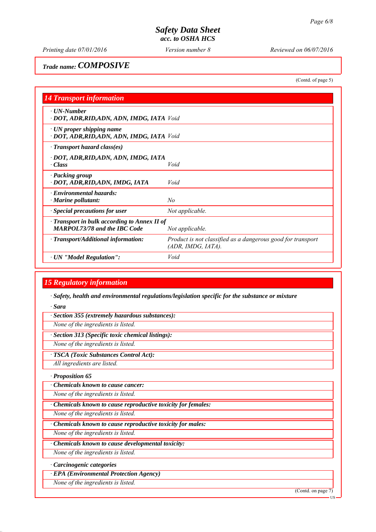*Printing date 07/01/2016 Reviewed on 06/07/2016 Version number 8*

# *Trade name: COMPOSIVE*

(Contd. of page 5)

| <b>14 Transport information</b>                                                           |                                                                                   |
|-------------------------------------------------------------------------------------------|-----------------------------------------------------------------------------------|
| · UN-Number<br>· DOT, ADR, RID, ADN, ADN, IMDG, IATA Void                                 |                                                                                   |
| $\cdot$ UN proper shipping name<br>· DOT, ADR, RID, ADN, ADN, IMDG, IATA Void             |                                                                                   |
| · Transport hazard class(es)                                                              |                                                                                   |
| · DOT, ADR, RID, ADN, ADN, IMDG, IATA<br>· Class                                          | Void                                                                              |
| · Packing group<br>· DOT, ADR, RID, ADN, IMDG, IATA                                       | Void                                                                              |
| · Environmental hazards:<br>$\cdot$ Marine pollutant:                                     | No                                                                                |
| $\cdot$ Special precautions for user                                                      | Not applicable.                                                                   |
| $\cdot$ Transport in bulk according to Annex II of<br><b>MARPOL73/78 and the IBC Code</b> | Not applicable.                                                                   |
| $\cdot$ Transport/Additional information:                                                 | Product is not classified as a dangerous good for transport<br>(ADR, IMDG, IATA). |
| · UN "Model Regulation":                                                                  | Void                                                                              |

# *15 Regulatory information*

*∙ Safety, health and environmental regulations/legislation specific for the substance or mixture*

*∙ Sara*

*∙ Section 355 (extremely hazardous substances):*

*None of the ingredients is listed.*

*∙ Section 313 (Specific toxic chemical listings):*

*None of the ingredients is listed.*

*∙ TSCA (Toxic Substances Control Act):*

*All ingredients are listed.*

*∙ Proposition 65*

*∙ Chemicals known to cause cancer:*

*None of the ingredients is listed.*

*∙ Chemicals known to cause reproductive toxicity for females:*

*None of the ingredients is listed.*

*∙ Chemicals known to cause reproductive toxicity for males:*

*None of the ingredients is listed.*

*∙ Chemicals known to cause developmental toxicity:*

*None of the ingredients is listed.*

*∙ Carcinogenic categories*

*∙ EPA (Environmental Protection Agency)*

*None of the ingredients is listed.*

(Contd. on page 7)

US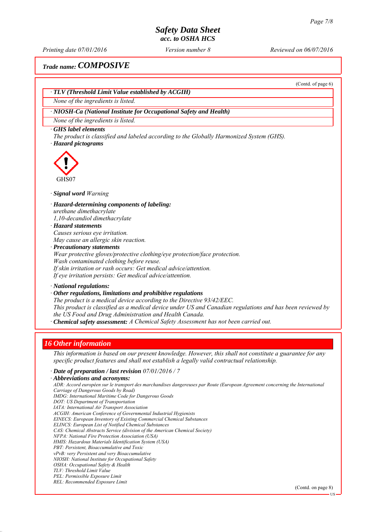*Printing date 07/01/2016 Reviewed on 06/07/2016 Version number 8*

(Contd. of page 6)

# *Trade name: COMPOSIVE*

*∙ TLV (Threshold Limit Value established by ACGIH)*

*None of the ingredients is listed.*

## *∙ NIOSH-Ca (National Institute for Occupational Safety and Health)*

*None of the ingredients is listed.*

#### *∙ GHS label elements*

*The product is classified and labeled according to the Globally Harmonized System (GHS). ∙ Hazard pictograms*



*∙ Signal word Warning*

#### *∙ Hazard-determining components of labeling:*

*urethane dimethacrylate*

*1,10-decandiol dimethacrylate*

# *∙ Hazard statements*

*Causes serious eye irritation. May cause an allergic skin reaction.*

*∙ Precautionary statements Wear protective gloves/protective clothing/eye protection/face protection. Wash contaminated clothing before reuse.*

*If skin irritation or rash occurs: Get medical advice/attention. If eye irritation persists: Get medical advice/attention.*

*∙ National regulations:*

# *∙ Other regulations, limitations and prohibitive regulations*

*The product is a medical device according to the Directive 93/42/EEC.*

*This product is classified as a medical device under US and Canadian regulations and has been reviewed by the US Food and Drug Administration and Health Canada.*

*∙ Chemical safety assessment: A Chemical Safety Assessment has not been carried out.*

#### *16 Other information*

*This information is based on our present knowledge. However, this shall not constitute a guarantee for any specific product features and shall not establish a legally valid contractual relationship.*

## *∙ Date of preparation / last revision 07/01/2016 / 7*

*∙ Abbreviations and acronyms:*

*ADR: Accord européen sur le transport des marchandises dangereuses par Route (European Agreement concerning the International Carriage of Dangerous Goods by Road) IMDG: International Maritime Code for Dangerous Goods DOT: US Department of Transportation IATA: International Air Transport Association ACGIH: American Conference of Governmental Industrial Hygienists EINECS: European Inventory of Existing Commercial Chemical Substances ELINCS: European List of Notified Chemical Substances CAS: Chemical Abstracts Service (division of the American Chemical Society) NFPA: National Fire Protection Association (USA) HMIS: Hazardous Materials Identification System (USA) PBT: Persistent, Bioaccumulative and Toxic vPvB: very Persistent and very Bioaccumulative NIOSH: National Institute for Occupational Safety OSHA: Occupational Safety & Health TLV: Threshold Limit Value PEL: Permissible Exposure Limit REL: Recommended Exposure Limit*

(Contd. on page 8)

US